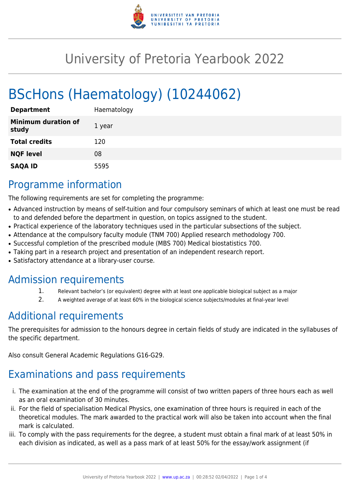

## University of Pretoria Yearbook 2022

# BScHons (Haematology) (10244062)

| <b>Department</b>                   | Haematology |
|-------------------------------------|-------------|
| <b>Minimum duration of</b><br>study | 1 year      |
| <b>Total credits</b>                | 120         |
| <b>NQF level</b>                    | 08          |
| <b>SAQA ID</b>                      | 5595        |

### Programme information

The following requirements are set for completing the programme:

- Advanced instruction by means of self-tuition and four compulsory seminars of which at least one must be read to and defended before the department in question, on topics assigned to the student.
- Practical experience of the laboratory techniques used in the particular subsections of the subject.
- Attendance at the compulsory faculty module (TNM 700) Applied research methodology 700.
- Successful completion of the prescribed module (MBS 700) Medical biostatistics 700.
- Taking part in a research project and presentation of an independent research report.
- Satisfactory attendance at a library-user course.

#### Admission requirements

- 1. Relevant bachelor's (or equivalent) degree with at least one applicable biological subject as a major
- 2. A weighted average of at least 60% in the biological science subjects/modules at final-year level

### Additional requirements

The prerequisites for admission to the honours degree in certain fields of study are indicated in the syllabuses of the specific department.

Also consult General Academic Regulations G16-G29.

## Examinations and pass requirements

- i. The examination at the end of the programme will consist of two written papers of three hours each as well as an oral examination of 30 minutes.
- ii. For the field of specialisation Medical Physics, one examination of three hours is required in each of the theoretical modules. The mark awarded to the practical work will also be taken into account when the final mark is calculated.
- iii. To comply with the pass requirements for the degree, a student must obtain a final mark of at least 50% in each division as indicated, as well as a pass mark of at least 50% for the essay/work assignment (if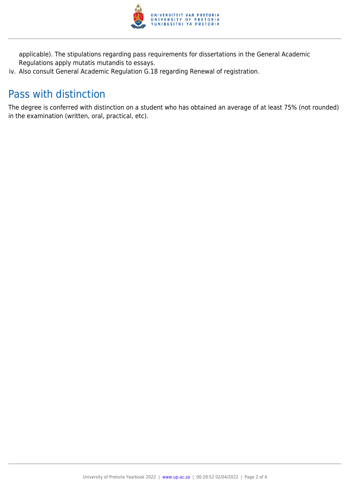

applicable). The stipulations regarding pass requirements for dissertations in the General Academic Regulations apply mutatis mutandis to essays.

iv. Also consult General Academic Regulation G.18 regarding Renewal of registration.

### Pass with distinction

The degree is conferred with distinction on a student who has obtained an average of at least 75% (not rounded) in the examination (written, oral, practical, etc).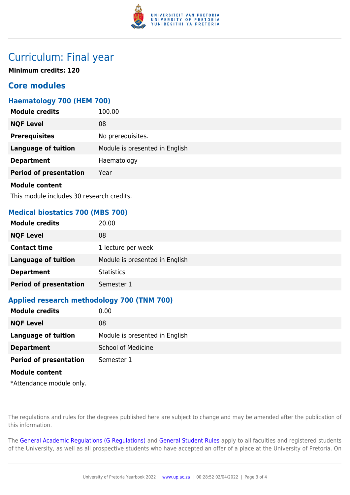

#### Curriculum: Final year

**Minimum credits: 120**

#### **Core modules**

#### **Haematology 700 (HEM 700)**

| <b>Module credits</b>         | 100.00                         |
|-------------------------------|--------------------------------|
| <b>NQF Level</b>              | 08                             |
| <b>Prerequisites</b>          | No prerequisites.              |
| <b>Language of tuition</b>    | Module is presented in English |
| <b>Department</b>             | Haematology                    |
| <b>Period of presentation</b> | Year                           |
| <b>Module content</b>         |                                |

This module includes 30 research credits.

#### **Medical biostatics 700 (MBS 700)**

| <b>Module credits</b>         | 20.00                          |
|-------------------------------|--------------------------------|
| <b>NQF Level</b>              | 08                             |
| <b>Contact time</b>           | 1 lecture per week             |
| <b>Language of tuition</b>    | Module is presented in English |
| <b>Department</b>             | <b>Statistics</b>              |
| <b>Period of presentation</b> | Semester 1                     |

#### **Applied research methodology 700 (TNM 700)**

| <b>Module credits</b>         | 0.00                           |
|-------------------------------|--------------------------------|
| <b>NQF Level</b>              | 08                             |
| <b>Language of tuition</b>    | Module is presented in English |
| <b>Department</b>             | <b>School of Medicine</b>      |
| <b>Period of presentation</b> | Semester 1                     |
| <b>Module content</b>         |                                |
| *Attendance module only.      |                                |

The regulations and rules for the degrees published here are subject to change and may be amended after the publication of this information.

The [General Academic Regulations \(G Regulations\)](https://www.up.ac.za/yearbooks/2022/rules/view/REG) and [General Student Rules](https://www.up.ac.za/yearbooks/2022/rules/view/RUL) apply to all faculties and registered students of the University, as well as all prospective students who have accepted an offer of a place at the University of Pretoria. On